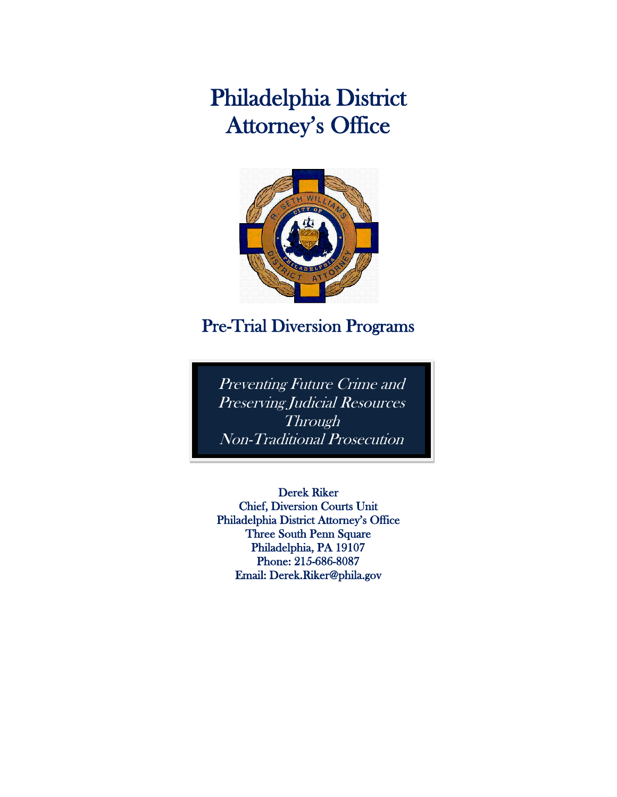# Philadelphia District Attorney's Office



## Pre-Trial Diversion Programs

l

Preventing Future Crime and Preserving Judicial Resources **Through** Non-Traditional Prosecution

j

Derek Riker Chief, Diversion Courts Unit Philadelphia District Attorney's Office Three South Penn Square Philadelphia, PA 19107 Phone: 215-686-8087 Email: Derek.Riker@phila.gov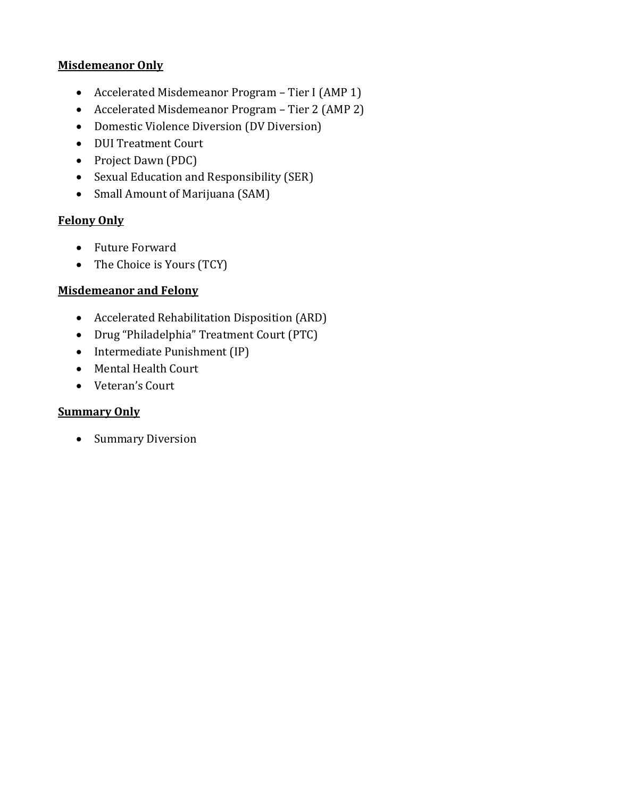#### **Misdemeanor Only**

- Accelerated Misdemeanor Program Tier I (AMP 1)
- Accelerated Misdemeanor Program Tier 2 (AMP 2)
- Domestic Violence Diversion (DV Diversion)
- DUI Treatment Court
- Project Dawn (PDC)
- Sexual Education and Responsibility (SER)
- Small Amount of Marijuana (SAM)

## **Felony Only**

- Future Forward
- The Choice is Yours (TCY)

## **Misdemeanor and Felony**

- Accelerated Rehabilitation Disposition (ARD)
- Drug "Philadelphia" Treatment Court (PTC)
- $\bullet$  Intermediate Punishment (IP)
- Mental Health Court
- Veteran's Court

## **Summary Only**

• Summary Diversion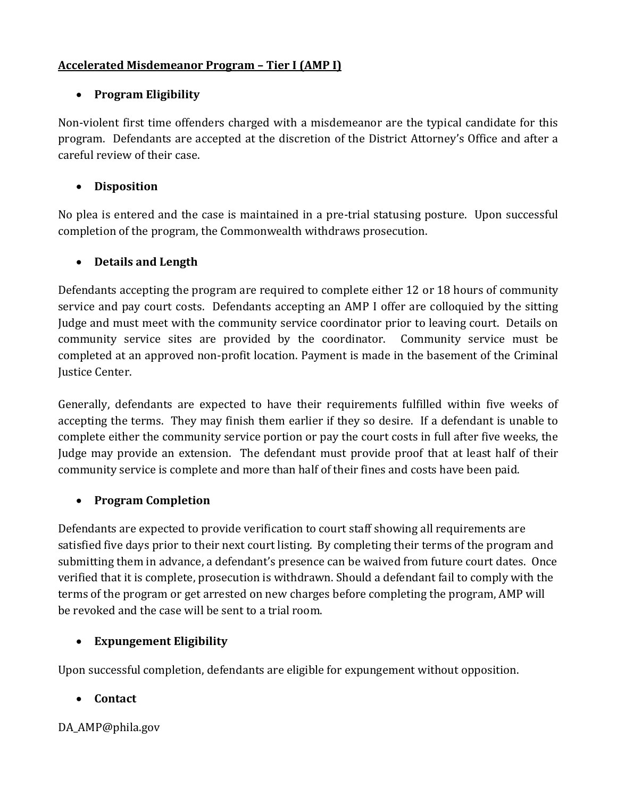## **Accelerated Misdemeanor Program – Tier I (AMP I)**

## **Program Eligibility**

Non-violent first time offenders charged with a misdemeanor are the typical candidate for this program. Defendants are accepted at the discretion of the District Attorney's Office and after a careful review of their case.

## **Disposition**

No plea is entered and the case is maintained in a pre-trial statusing posture. Upon successful completion of the program, the Commonwealth withdraws prosecution.

## **Details and Length**

Defendants accepting the program are required to complete either 12 or 18 hours of community service and pay court costs. Defendants accepting an AMP I offer are colloquied by the sitting Judge and must meet with the community service coordinator prior to leaving court. Details on community service sites are provided by the coordinator. Community service must be completed at an approved non-profit location. Payment is made in the basement of the Criminal Justice Center.

Generally, defendants are expected to have their requirements fulfilled within five weeks of accepting the terms. They may finish them earlier if they so desire. If a defendant is unable to complete either the community service portion or pay the court costs in full after five weeks, the Judge may provide an extension. The defendant must provide proof that at least half of their community service is complete and more than half of their fines and costs have been paid.

## **Program Completion**

Defendants are expected to provide verification to court staff showing all requirements are satisfied five days prior to their next court listing. By completing their terms of the program and submitting them in advance, a defendant's presence can be waived from future court dates. Once verified that it is complete, prosecution is withdrawn. Should a defendant fail to comply with the terms of the program or get arrested on new charges before completing the program, AMP will be revoked and the case will be sent to a trial room.

## **Expungement Eligibility**

Upon successful completion, defendants are eligible for expungement without opposition.

## **Contact**

DA AMP@phila.gov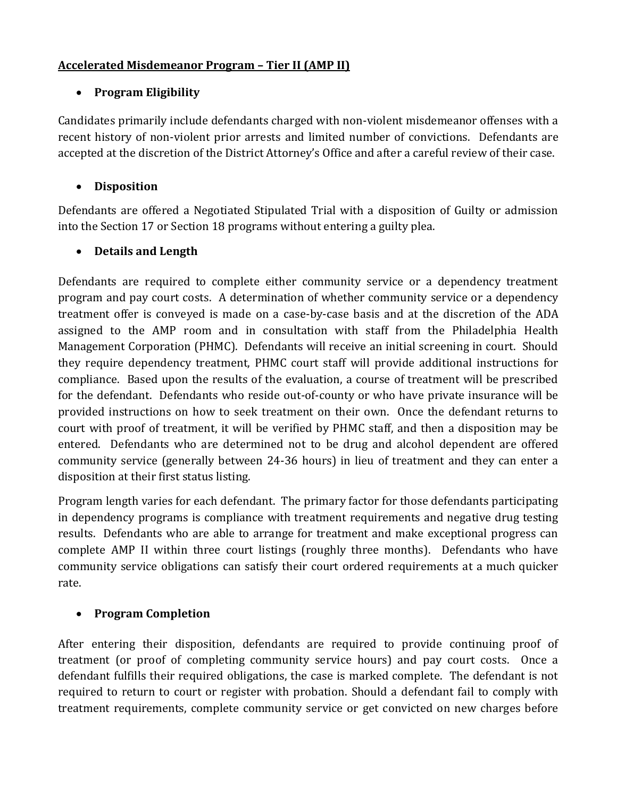## **Accelerated Misdemeanor Program – Tier II (AMP II)**

## **Program Eligibility**

Candidates primarily include defendants charged with non-violent misdemeanor offenses with a recent history of non-violent prior arrests and limited number of convictions. Defendants are accepted at the discretion of the District Attorney's Office and after a careful review of their case.

## **Disposition**

Defendants are offered a Negotiated Stipulated Trial with a disposition of Guilty or admission into the Section 17 or Section 18 programs without entering a guilty plea.

## **Details and Length**

Defendants are required to complete either community service or a dependency treatment program and pay court costs. A determination of whether community service or a dependency treatment offer is conveyed is made on a case-by-case basis and at the discretion of the ADA assigned to the AMP room and in consultation with staff from the Philadelphia Health Management Corporation (PHMC). Defendants will receive an initial screening in court. Should they require dependency treatment, PHMC court staff will provide additional instructions for compliance. Based upon the results of the evaluation, a course of treatment will be prescribed for the defendant. Defendants who reside out-of-county or who have private insurance will be provided instructions on how to seek treatment on their own. Once the defendant returns to court with proof of treatment, it will be verified by PHMC staff, and then a disposition may be entered. Defendants who are determined not to be drug and alcohol dependent are offered community service (generally between 24-36 hours) in lieu of treatment and they can enter a disposition at their first status listing.

Program length varies for each defendant. The primary factor for those defendants participating in dependency programs is compliance with treatment requirements and negative drug testing results. Defendants who are able to arrange for treatment and make exceptional progress can complete AMP II within three court listings (roughly three months). Defendants who have community service obligations can satisfy their court ordered requirements at a much quicker rate.

## **Program Completion**

After entering their disposition, defendants are required to provide continuing proof of treatment (or proof of completing community service hours) and pay court costs. Once a defendant fulfills their required obligations, the case is marked complete. The defendant is not required to return to court or register with probation. Should a defendant fail to comply with treatment requirements, complete community service or get convicted on new charges before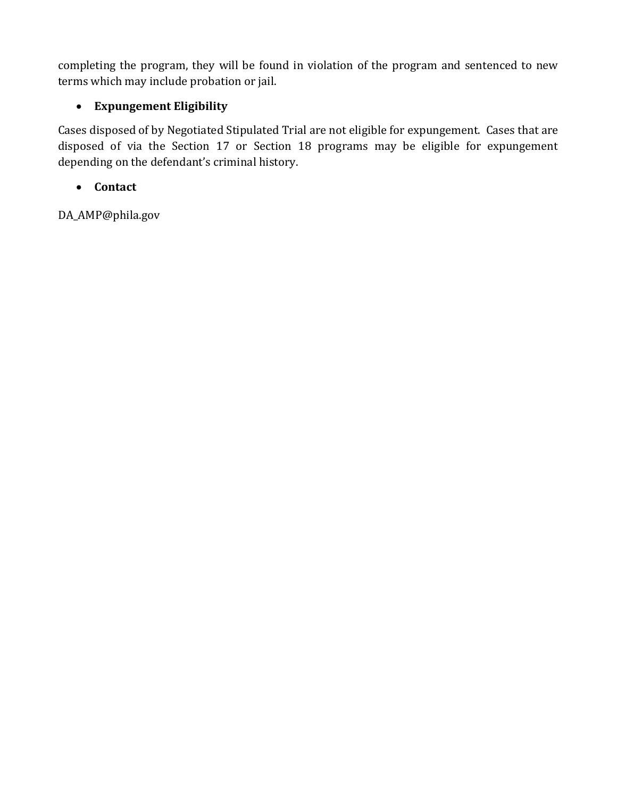completing the program, they will be found in violation of the program and sentenced to new terms which may include probation or jail.

## **Expungement Eligibility**

Cases disposed of by Negotiated Stipulated Trial are not eligible for expungement. Cases that are disposed of via the Section 17 or Section 18 programs may be eligible for expungement depending on the defendant's criminal history.

## **Contact**

DA\_AMP@phila.gov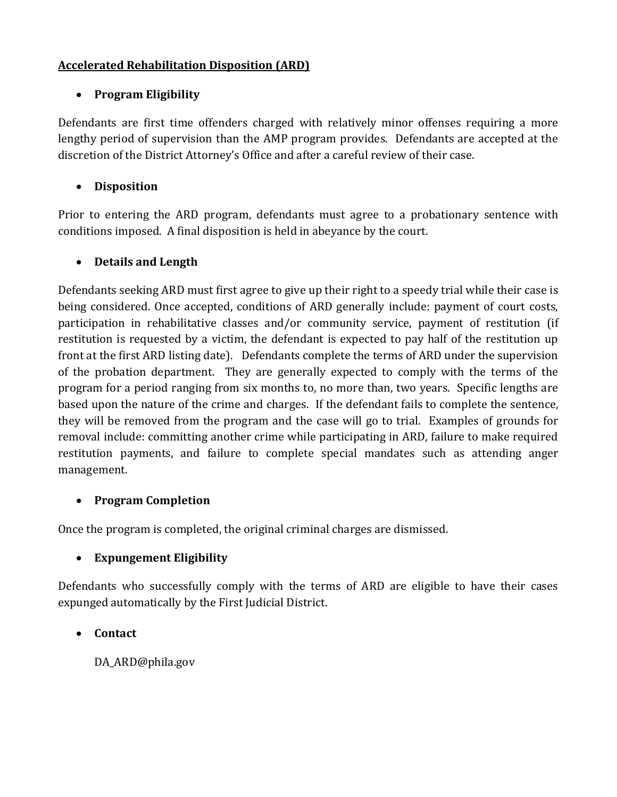#### **Accelerated Rehabilitation Disposition (ARD)**

#### **Program Eligibility**

Defendants are first time offenders charged with relatively minor offenses requiring a more lengthy period of supervision than the AMP program provides. Defendants are accepted at the discretion of the District Attorney's Office and after a careful review of their case.

#### **Disposition**

Prior to entering the ARD program, defendants must agree to a probationary sentence with conditions imposed. A final disposition is held in abeyance by the court.

#### **Details and Length**

Defendants seeking ARD must first agree to give up their right to a speedy trial while their case is being considered. Once accepted, conditions of ARD generally include: payment of court costs, participation in rehabilitative classes and/or community service, payment of restitution (if restitution is requested by a victim, the defendant is expected to pay half of the restitution up front at the first ARD listing date). Defendants complete the terms of ARD under the supervision of the probation department. They are generally expected to comply with the terms of the program for a period ranging from six months to, no more than, two years. Specific lengths are based upon the nature of the crime and charges. If the defendant fails to complete the sentence, they will be removed from the program and the case will go to trial. Examples of grounds for removal include: committing another crime while participating in ARD, failure to make required restitution payments, and failure to complete special mandates such as attending anger management.

#### **Program Completion**

Once the program is completed, the original criminal charges are dismissed.

#### **Expungement Eligibility**

Defendants who successfully comply with the terms of ARD are eligible to have their cases expunged automatically by the First Judicial District.

#### **Contact**

DA\_ARD@phila.gov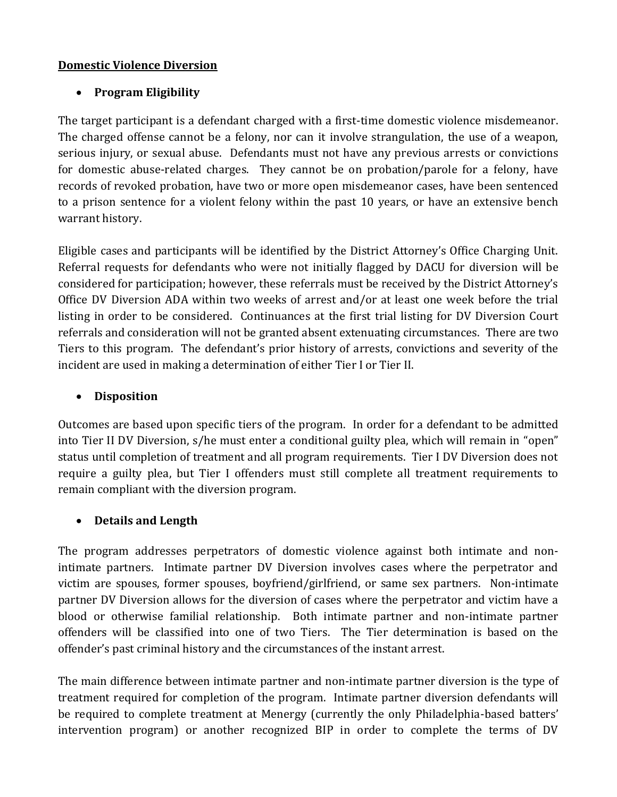#### **Domestic Violence Diversion**

## **Program Eligibility**

The target participant is a defendant charged with a first-time domestic violence misdemeanor. The charged offense cannot be a felony, nor can it involve strangulation, the use of a weapon, serious injury, or sexual abuse. Defendants must not have any previous arrests or convictions for domestic abuse-related charges. They cannot be on probation/parole for a felony, have records of revoked probation, have two or more open misdemeanor cases, have been sentenced to a prison sentence for a violent felony within the past 10 years, or have an extensive bench warrant history.

Eligible cases and participants will be identified by the District Attorney's Office Charging Unit. Referral requests for defendants who were not initially flagged by DACU for diversion will be considered for participation; however, these referrals must be received by the District Attorney's Office DV Diversion ADA within two weeks of arrest and/or at least one week before the trial listing in order to be considered. Continuances at the first trial listing for DV Diversion Court referrals and consideration will not be granted absent extenuating circumstances. There are two Tiers to this program. The defendant's prior history of arrests, convictions and severity of the incident are used in making a determination of either Tier I or Tier II.

## **Disposition**

Outcomes are based upon specific tiers of the program. In order for a defendant to be admitted into Tier II DV Diversion, s/he must enter a conditional guilty plea, which will remain in "open" status until completion of treatment and all program requirements. Tier I DV Diversion does not require a guilty plea, but Tier I offenders must still complete all treatment requirements to remain compliant with the diversion program.

#### **Details and Length**

The program addresses perpetrators of domestic violence against both intimate and nonintimate partners. Intimate partner DV Diversion involves cases where the perpetrator and victim are spouses, former spouses, boyfriend/girlfriend, or same sex partners. Non-intimate partner DV Diversion allows for the diversion of cases where the perpetrator and victim have a blood or otherwise familial relationship. Both intimate partner and non-intimate partner offenders will be classified into one of two Tiers. The Tier determination is based on the offender's past criminal history and the circumstances of the instant arrest.

The main difference between intimate partner and non-intimate partner diversion is the type of treatment required for completion of the program. Intimate partner diversion defendants will be required to complete treatment at Menergy (currently the only Philadelphia-based batters' intervention program) or another recognized BIP in order to complete the terms of DV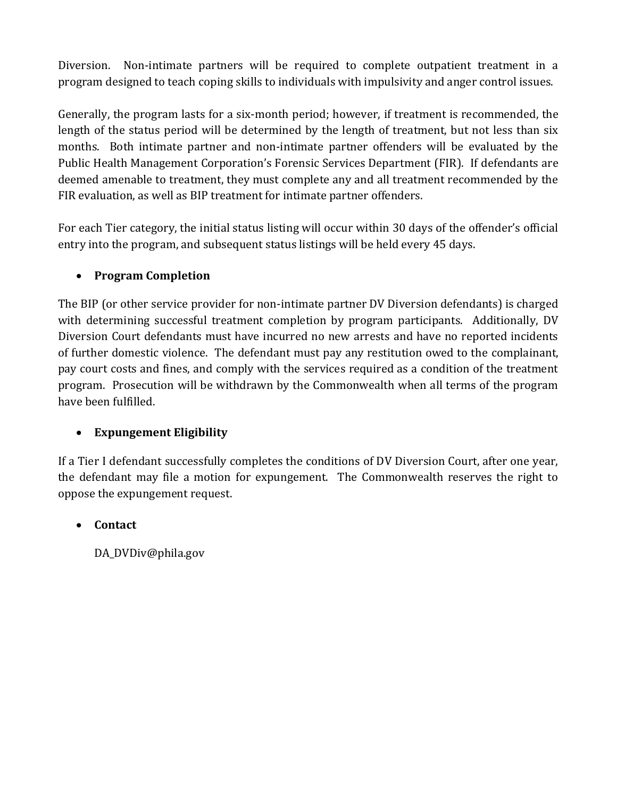Diversion. Non-intimate partners will be required to complete outpatient treatment in a program designed to teach coping skills to individuals with impulsivity and anger control issues.

Generally, the program lasts for a six-month period; however, if treatment is recommended, the length of the status period will be determined by the length of treatment, but not less than six months. Both intimate partner and non-intimate partner offenders will be evaluated by the Public Health Management Corporation's Forensic Services Department (FIR). If defendants are deemed amenable to treatment, they must complete any and all treatment recommended by the FIR evaluation, as well as BIP treatment for intimate partner offenders.

For each Tier category, the initial status listing will occur within 30 days of the offender's official entry into the program, and subsequent status listings will be held every 45 days.

## **Program Completion**

The BIP (or other service provider for non-intimate partner DV Diversion defendants) is charged with determining successful treatment completion by program participants. Additionally, DV Diversion Court defendants must have incurred no new arrests and have no reported incidents of further domestic violence. The defendant must pay any restitution owed to the complainant, pay court costs and fines, and comply with the services required as a condition of the treatment program. Prosecution will be withdrawn by the Commonwealth when all terms of the program have been fulfilled.

#### **Expungement Eligibility**

If a Tier I defendant successfully completes the conditions of DV Diversion Court, after one year, the defendant may file a motion for expungement. The Commonwealth reserves the right to oppose the expungement request.

#### **Contact**

DA\_DVDiv@phila.gov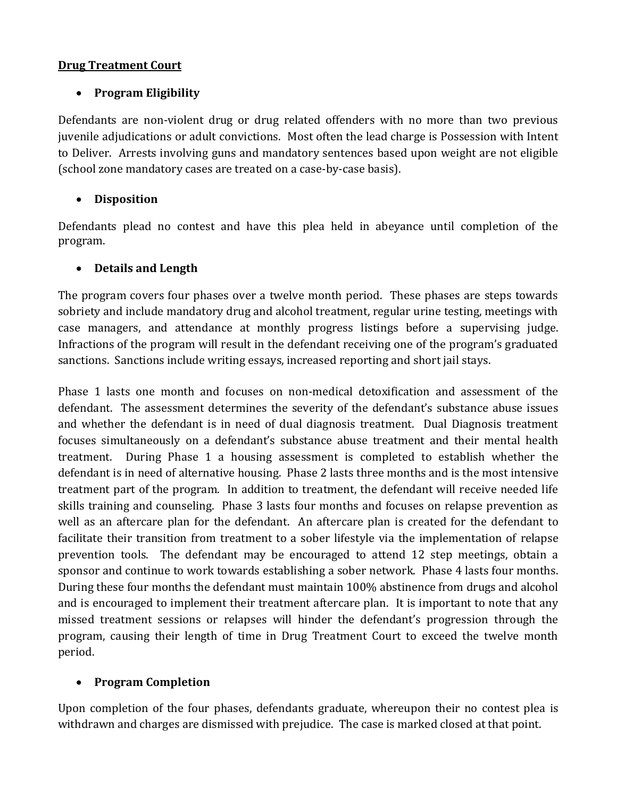#### **Drug Treatment Court**

#### **Program Eligibility**

Defendants are non-violent drug or drug related offenders with no more than two previous juvenile adjudications or adult convictions. Most often the lead charge is Possession with Intent to Deliver. Arrests involving guns and mandatory sentences based upon weight are not eligible (school zone mandatory cases are treated on a case-by-case basis).

#### **Disposition**

Defendants plead no contest and have this plea held in abeyance until completion of the program.

#### **Details and Length**

The program covers four phases over a twelve month period. These phases are steps towards sobriety and include mandatory drug and alcohol treatment, regular urine testing, meetings with case managers, and attendance at monthly progress listings before a supervising judge. Infractions of the program will result in the defendant receiving one of the program's graduated sanctions. Sanctions include writing essays, increased reporting and short jail stays.

Phase 1 lasts one month and focuses on non-medical detoxification and assessment of the defendant. The assessment determines the severity of the defendant's substance abuse issues and whether the defendant is in need of dual diagnosis treatment. Dual Diagnosis treatment focuses simultaneously on a defendant's substance abuse treatment and their mental health treatment. During Phase 1 a housing assessment is completed to establish whether the defendant is in need of alternative housing. Phase 2 lasts three months and is the most intensive treatment part of the program. In addition to treatment, the defendant will receive needed life skills training and counseling. Phase 3 lasts four months and focuses on relapse prevention as well as an aftercare plan for the defendant. An aftercare plan is created for the defendant to facilitate their transition from treatment to a sober lifestyle via the implementation of relapse prevention tools. The defendant may be encouraged to attend 12 step meetings, obtain a sponsor and continue to work towards establishing a sober network. Phase 4 lasts four months. During these four months the defendant must maintain 100% abstinence from drugs and alcohol and is encouraged to implement their treatment aftercare plan. It is important to note that any missed treatment sessions or relapses will hinder the defendant's progression through the program, causing their length of time in Drug Treatment Court to exceed the twelve month period.

#### **Program Completion**

Upon completion of the four phases, defendants graduate, whereupon their no contest plea is withdrawn and charges are dismissed with prejudice. The case is marked closed at that point.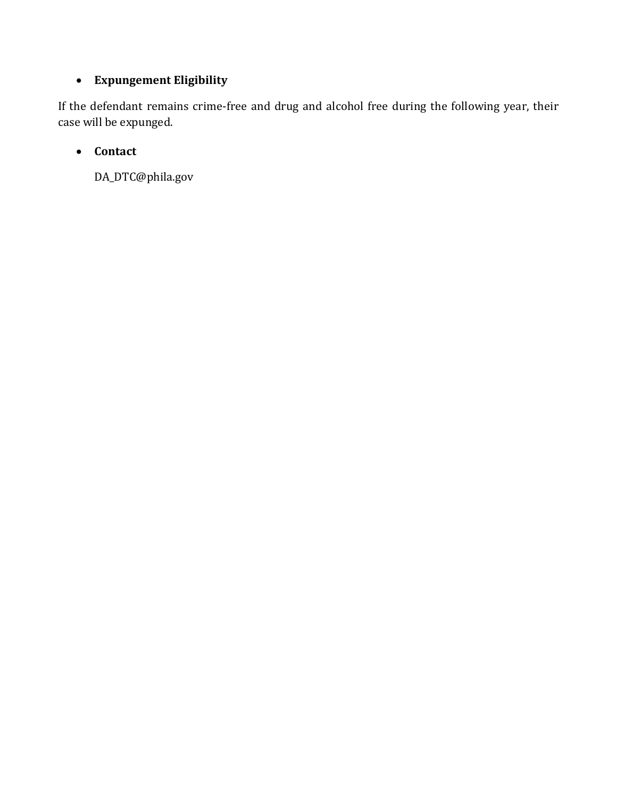## **Expungement Eligibility**

If the defendant remains crime-free and drug and alcohol free during the following year, their case will be expunged.

## **Contact**

DA\_DTC@phila.gov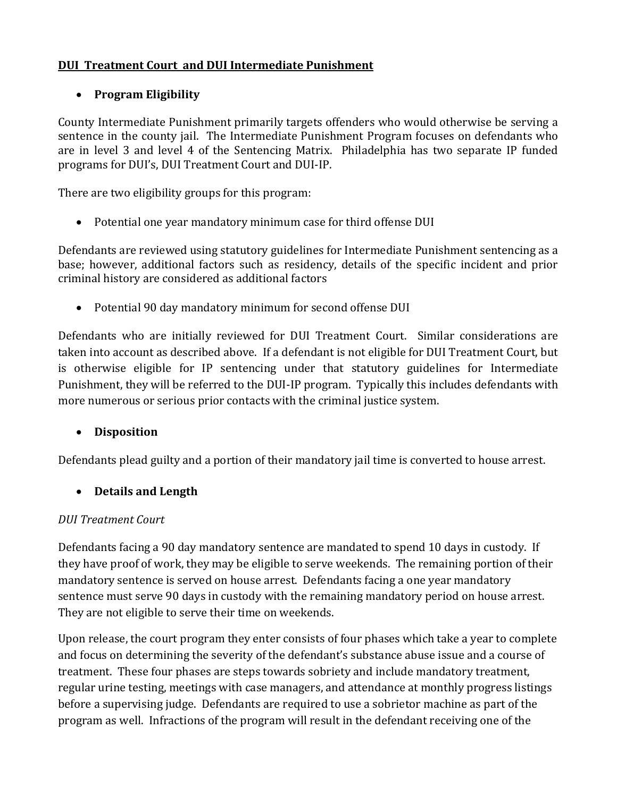#### **DUI Treatment Court and DUI Intermediate Punishment**

#### **Program Eligibility**

County Intermediate Punishment primarily targets offenders who would otherwise be serving a sentence in the county jail. The Intermediate Punishment Program focuses on defendants who are in level 3 and level 4 of the Sentencing Matrix. Philadelphia has two separate IP funded programs for DUI's, DUI Treatment Court and DUI-IP.

There are two eligibility groups for this program:

Potential one year mandatory minimum case for third offense DUI

Defendants are reviewed using statutory guidelines for Intermediate Punishment sentencing as a base; however, additional factors such as residency, details of the specific incident and prior criminal history are considered as additional factors

Potential 90 day mandatory minimum for second offense DUI

Defendants who are initially reviewed for DUI Treatment Court. Similar considerations are taken into account as described above. If a defendant is not eligible for DUI Treatment Court, but is otherwise eligible for IP sentencing under that statutory guidelines for Intermediate Punishment, they will be referred to the DUI-IP program. Typically this includes defendants with more numerous or serious prior contacts with the criminal justice system.

#### **Disposition**

Defendants plead guilty and a portion of their mandatory jail time is converted to house arrest.

#### **Details and Length**

#### *DUI Treatment Court*

Defendants facing a 90 day mandatory sentence are mandated to spend 10 days in custody. If they have proof of work, they may be eligible to serve weekends. The remaining portion of their mandatory sentence is served on house arrest. Defendants facing a one year mandatory sentence must serve 90 days in custody with the remaining mandatory period on house arrest. They are not eligible to serve their time on weekends.

Upon release, the court program they enter consists of four phases which take a year to complete and focus on determining the severity of the defendant's substance abuse issue and a course of treatment. These four phases are steps towards sobriety and include mandatory treatment, regular urine testing, meetings with case managers, and attendance at monthly progress listings before a supervising judge. Defendants are required to use a sobrietor machine as part of the program as well. Infractions of the program will result in the defendant receiving one of the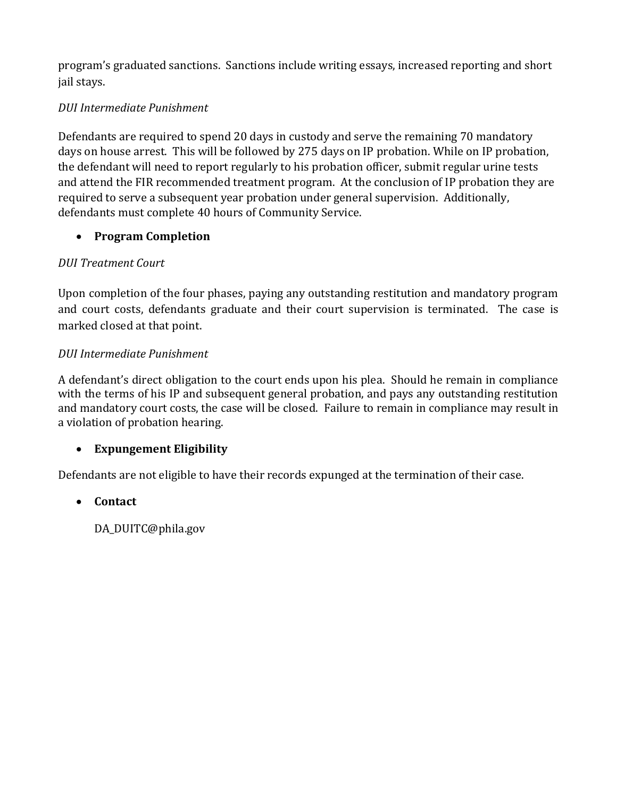program's graduated sanctions. Sanctions include writing essays, increased reporting and short jail stays.

## *DUI Intermediate Punishment*

Defendants are required to spend 20 days in custody and serve the remaining 70 mandatory days on house arrest. This will be followed by 275 days on IP probation. While on IP probation, the defendant will need to report regularly to his probation officer, submit regular urine tests and attend the FIR recommended treatment program. At the conclusion of IP probation they are required to serve a subsequent year probation under general supervision. Additionally, defendants must complete 40 hours of Community Service.

## **Program Completion**

## *DUI Treatment Court*

Upon completion of the four phases, paying any outstanding restitution and mandatory program and court costs, defendants graduate and their court supervision is terminated. The case is marked closed at that point.

## *DUI Intermediate Punishment*

A defendant's direct obligation to the court ends upon his plea. Should he remain in compliance with the terms of his IP and subsequent general probation, and pays any outstanding restitution and mandatory court costs, the case will be closed. Failure to remain in compliance may result in a violation of probation hearing.

## **Expungement Eligibility**

Defendants are not eligible to have their records expunged at the termination of their case.

## **Contact**

DA\_DUITC@phila.gov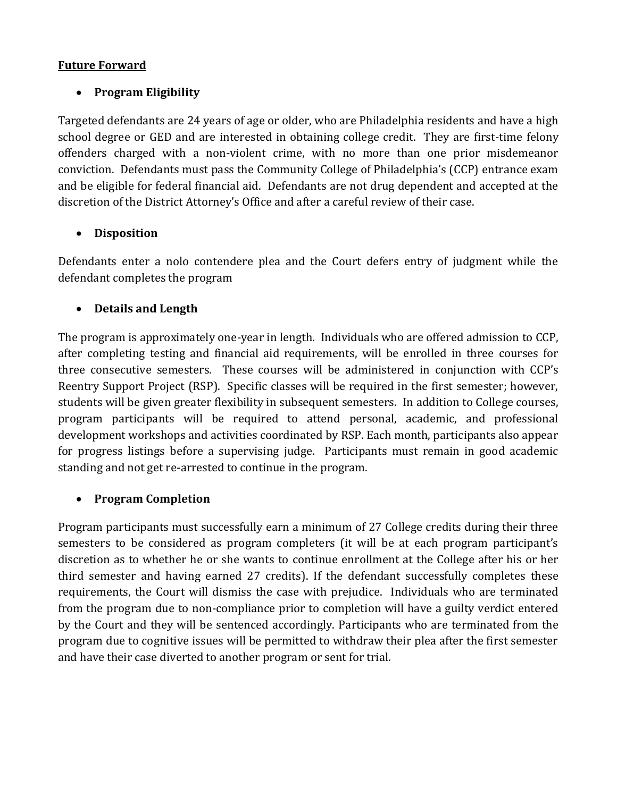#### **Future Forward**

#### **Program Eligibility**

Targeted defendants are 24 years of age or older, who are Philadelphia residents and have a high school degree or GED and are interested in obtaining college credit. They are first-time felony offenders charged with a non-violent crime, with no more than one prior misdemeanor conviction. Defendants must pass the Community College of Philadelphia's (CCP) entrance exam and be eligible for federal financial aid. Defendants are not drug dependent and accepted at the discretion of the District Attorney's Office and after a careful review of their case.

#### **Disposition**

Defendants enter a nolo contendere plea and the Court defers entry of judgment while the defendant completes the program

#### **Details and Length**

The program is approximately one-year in length. Individuals who are offered admission to CCP, after completing testing and financial aid requirements, will be enrolled in three courses for three consecutive semesters. These courses will be administered in conjunction with CCP's Reentry Support Project (RSP). Specific classes will be required in the first semester; however, students will be given greater flexibility in subsequent semesters. In addition to College courses, program participants will be required to attend personal, academic, and professional development workshops and activities coordinated by RSP. Each month, participants also appear for progress listings before a supervising judge. Participants must remain in good academic standing and not get re-arrested to continue in the program.

#### **Program Completion**

Program participants must successfully earn a minimum of 27 College credits during their three semesters to be considered as program completers (it will be at each program participant's discretion as to whether he or she wants to continue enrollment at the College after his or her third semester and having earned 27 credits). If the defendant successfully completes these requirements, the Court will dismiss the case with prejudice. Individuals who are terminated from the program due to non-compliance prior to completion will have a guilty verdict entered by the Court and they will be sentenced accordingly. Participants who are terminated from the program due to cognitive issues will be permitted to withdraw their plea after the first semester and have their case diverted to another program or sent for trial.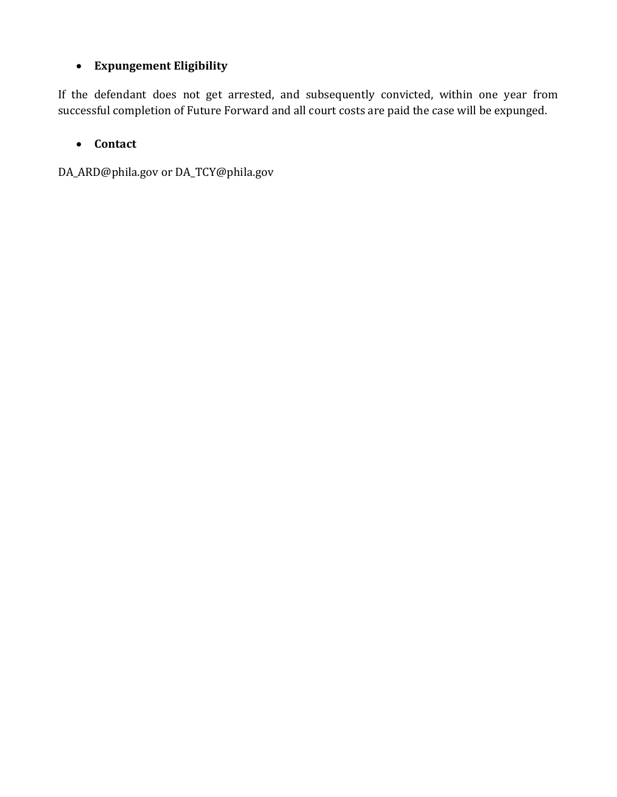## **Expungement Eligibility**

If the defendant does not get arrested, and subsequently convicted, within one year from successful completion of Future Forward and all court costs are paid the case will be expunged.

## **Contact**

DA\_ARD@phila.gov or DA\_TCY@phila.gov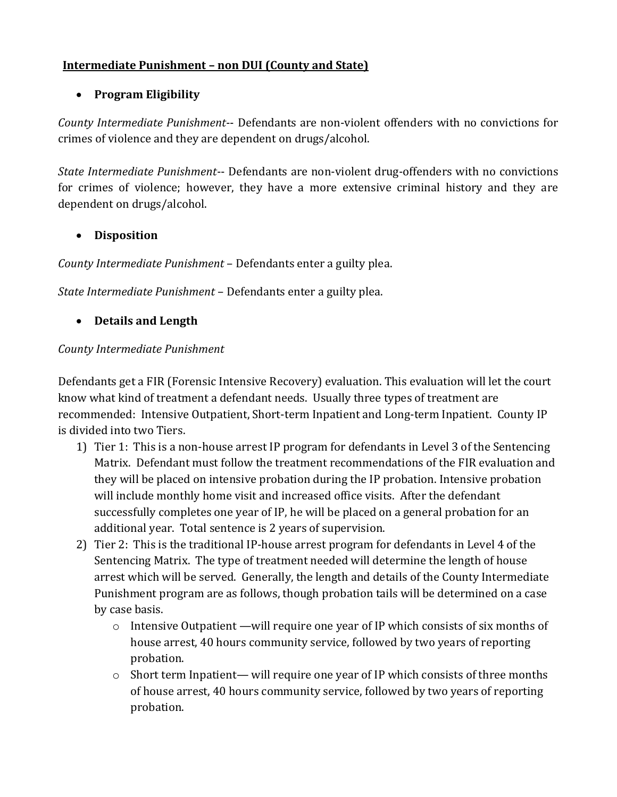## **Intermediate Punishment – non DUI (County and State)**

## **Program Eligibility**

*County Intermediate Punishment*-- Defendants are non-violent offenders with no convictions for crimes of violence and they are dependent on drugs/alcohol.

*State Intermediate Punishment*-- Defendants are non-violent drug-offenders with no convictions for crimes of violence; however, they have a more extensive criminal history and they are dependent on drugs/alcohol.

#### **Disposition**

*County Intermediate Punishment* – Defendants enter a guilty plea.

*State Intermediate Punishment* – Defendants enter a guilty plea.

## **Details and Length**

## *County Intermediate Punishment*

Defendants get a FIR (Forensic Intensive Recovery) evaluation. This evaluation will let the court know what kind of treatment a defendant needs. Usually three types of treatment are recommended: Intensive Outpatient, Short-term Inpatient and Long-term Inpatient. County IP is divided into two Tiers.

- 1) Tier 1: This is a non-house arrest IP program for defendants in Level 3 of the Sentencing Matrix. Defendant must follow the treatment recommendations of the FIR evaluation and they will be placed on intensive probation during the IP probation. Intensive probation will include monthly home visit and increased office visits. After the defendant successfully completes one year of IP, he will be placed on a general probation for an additional year. Total sentence is 2 years of supervision.
- 2) Tier 2: This is the traditional IP-house arrest program for defendants in Level 4 of the Sentencing Matrix. The type of treatment needed will determine the length of house arrest which will be served. Generally, the length and details of the County Intermediate Punishment program are as follows, though probation tails will be determined on a case by case basis.
	- o Intensive Outpatient —will require one year of IP which consists of six months of house arrest, 40 hours community service, followed by two years of reporting probation.
	- o Short term Inpatient— will require one year of IP which consists of three months of house arrest, 40 hours community service, followed by two years of reporting probation.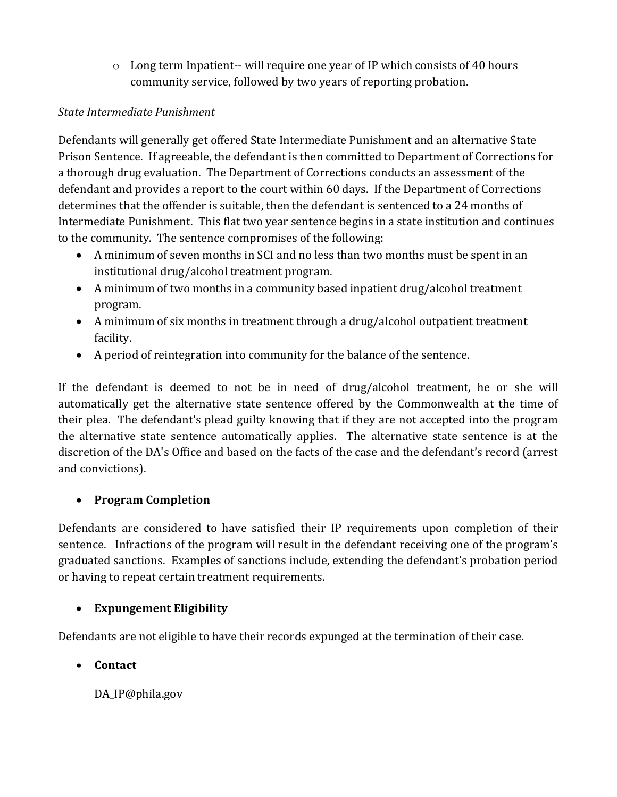$\circ$  Long term Inpatient-- will require one year of IP which consists of 40 hours community service, followed by two years of reporting probation.

## *State Intermediate Punishment*

Defendants will generally get offered State Intermediate Punishment and an alternative State Prison Sentence. If agreeable, the defendant is then committed to Department of Corrections for a thorough drug evaluation. The Department of Corrections conducts an assessment of the defendant and provides a report to the court within 60 days. If the Department of Corrections determines that the offender is suitable, then the defendant is sentenced to a 24 months of Intermediate Punishment. This flat two year sentence begins in a state institution and continues to the community. The sentence compromises of the following:

- A minimum of seven months in SCI and no less than two months must be spent in an institutional drug/alcohol treatment program.
- A minimum of two months in a community based inpatient drug/alcohol treatment program.
- A minimum of six months in treatment through a drug/alcohol outpatient treatment facility.
- A period of reintegration into community for the balance of the sentence.

If the defendant is deemed to not be in need of drug/alcohol treatment, he or she will automatically get the alternative state sentence offered by the Commonwealth at the time of their plea. The defendant's plead guilty knowing that if they are not accepted into the program the alternative state sentence automatically applies. The alternative state sentence is at the discretion of the DA's Office and based on the facts of the case and the defendant's record (arrest and convictions).

## **Program Completion**

Defendants are considered to have satisfied their IP requirements upon completion of their sentence. Infractions of the program will result in the defendant receiving one of the program's graduated sanctions. Examples of sanctions include, extending the defendant's probation period or having to repeat certain treatment requirements.

## **Expungement Eligibility**

Defendants are not eligible to have their records expunged at the termination of their case.

## **Contact**

DA\_IP@phila.gov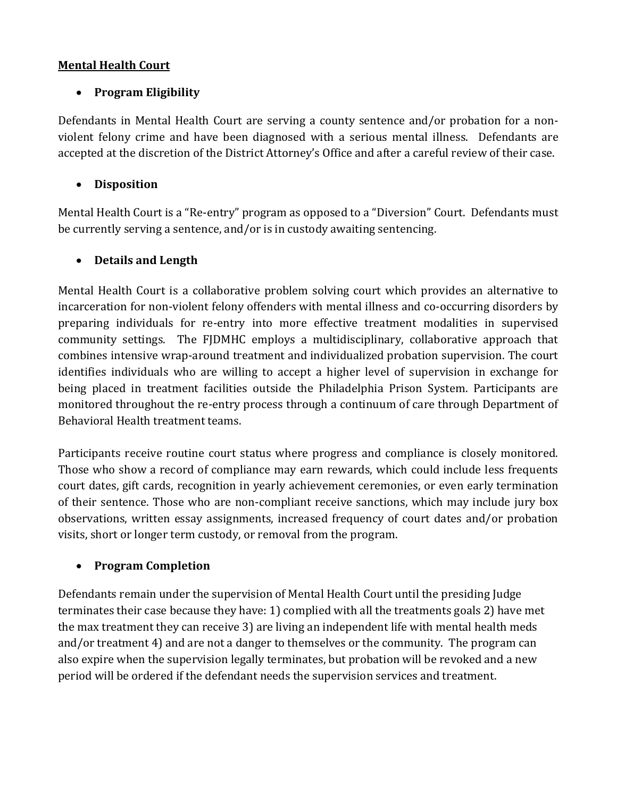#### **Mental Health Court**

#### **Program Eligibility**

Defendants in Mental Health Court are serving a county sentence and/or probation for a nonviolent felony crime and have been diagnosed with a serious mental illness. Defendants are accepted at the discretion of the District Attorney's Office and after a careful review of their case.

#### **Disposition**

Mental Health Court is a "Re-entry" program as opposed to a "Diversion" Court. Defendants must be currently serving a sentence, and/or is in custody awaiting sentencing.

#### **Details and Length**

Mental Health Court is a collaborative problem solving court which provides an alternative to incarceration for non-violent felony offenders with mental illness and co-occurring disorders by preparing individuals for re-entry into more effective treatment modalities in supervised community settings. The FJDMHC employs a multidisciplinary, collaborative approach that combines intensive wrap-around treatment and individualized probation supervision. The court identifies individuals who are willing to accept a higher level of supervision in exchange for being placed in treatment facilities outside the Philadelphia Prison System. Participants are monitored throughout the re-entry process through a continuum of care through Department of Behavioral Health treatment teams.

Participants receive routine court status where progress and compliance is closely monitored. Those who show a record of compliance may earn rewards, which could include less frequents court dates, gift cards, recognition in yearly achievement ceremonies, or even early termination of their sentence. Those who are non-compliant receive sanctions, which may include jury box observations, written essay assignments, increased frequency of court dates and/or probation visits, short or longer term custody, or removal from the program.

#### **Program Completion**

Defendants remain under the supervision of Mental Health Court until the presiding Judge terminates their case because they have: 1) complied with all the treatments goals 2) have met the max treatment they can receive 3) are living an independent life with mental health meds and/or treatment 4) and are not a danger to themselves or the community. The program can also expire when the supervision legally terminates, but probation will be revoked and a new period will be ordered if the defendant needs the supervision services and treatment.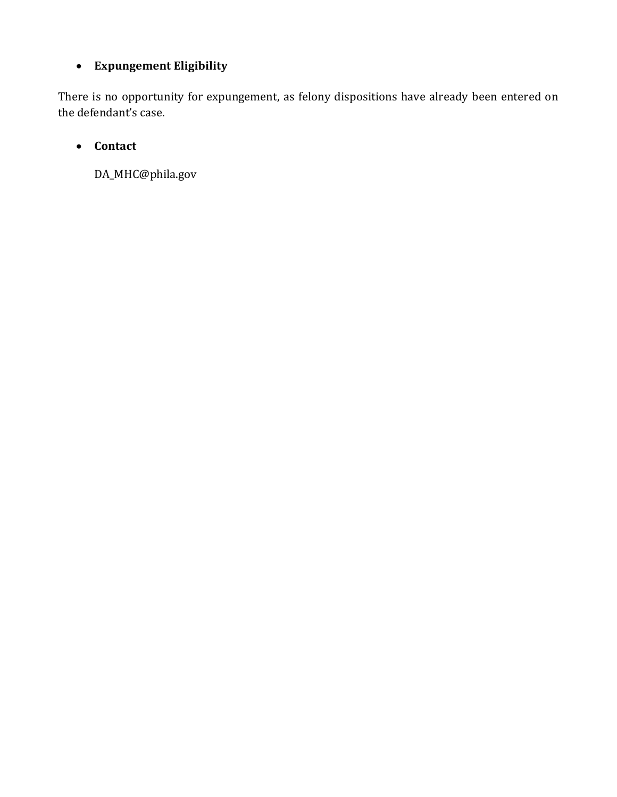## **Expungement Eligibility**

There is no opportunity for expungement, as felony dispositions have already been entered on the defendant's case.

## **Contact**

DA\_MHC@phila.gov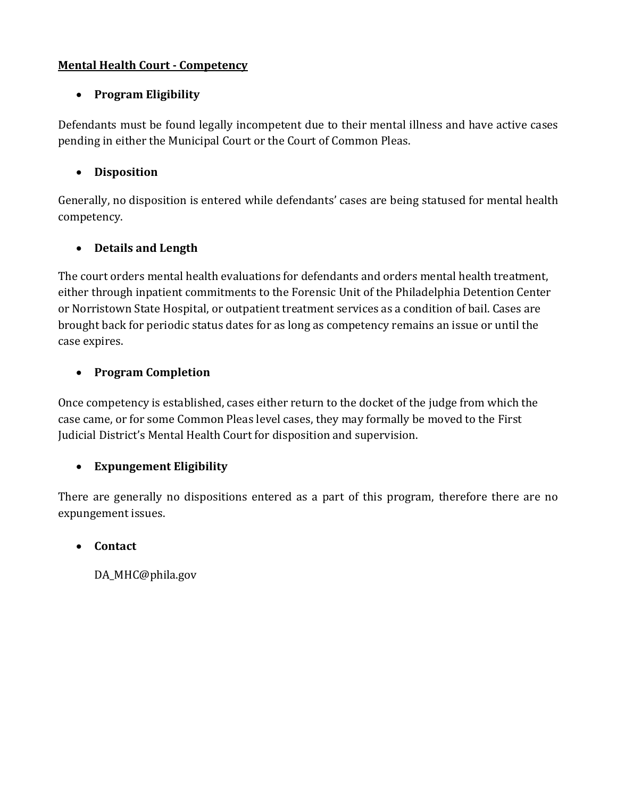#### **Mental Health Court - Competency**

## **Program Eligibility**

Defendants must be found legally incompetent due to their mental illness and have active cases pending in either the Municipal Court or the Court of Common Pleas.

## **Disposition**

Generally, no disposition is entered while defendants' cases are being statused for mental health competency.

## **Details and Length**

The court orders mental health evaluations for defendants and orders mental health treatment, either through inpatient commitments to the Forensic Unit of the Philadelphia Detention Center or Norristown State Hospital, or outpatient treatment services as a condition of bail. Cases are brought back for periodic status dates for as long as competency remains an issue or until the case expires.

## **Program Completion**

Once competency is established, cases either return to the docket of the judge from which the case came, or for some Common Pleas level cases, they may formally be moved to the First Judicial District's Mental Health Court for disposition and supervision.

#### **Expungement Eligibility**

There are generally no dispositions entered as a part of this program, therefore there are no expungement issues.

#### **Contact**

DA\_MHC@phila.gov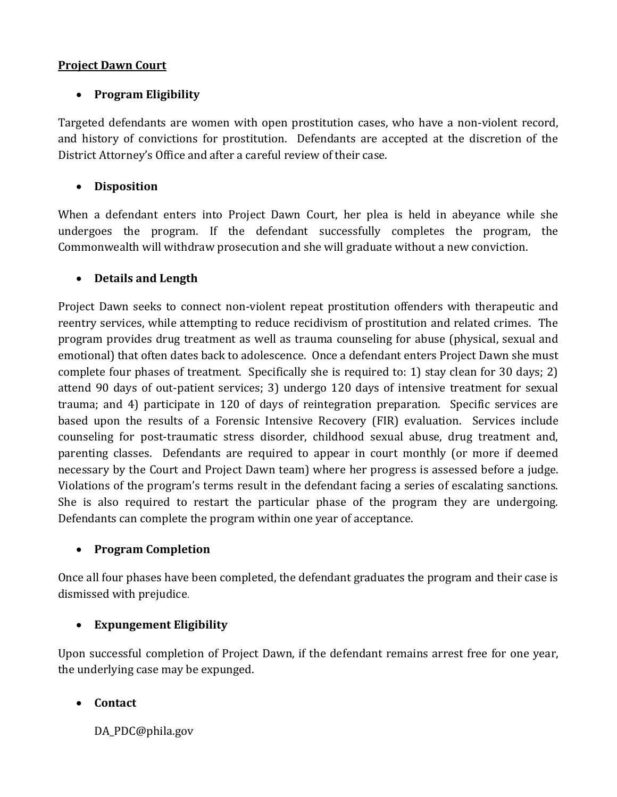#### **Project Dawn Court**

## **Program Eligibility**

Targeted defendants are women with open prostitution cases, who have a non-violent record, and history of convictions for prostitution. Defendants are accepted at the discretion of the District Attorney's Office and after a careful review of their case.

#### **Disposition**

When a defendant enters into Project Dawn Court, her plea is held in abeyance while she undergoes the program. If the defendant successfully completes the program, the Commonwealth will withdraw prosecution and she will graduate without a new conviction.

#### **Details and Length**

Project Dawn seeks to connect non-violent repeat prostitution offenders with therapeutic and reentry services, while attempting to reduce recidivism of prostitution and related crimes. The program provides drug treatment as well as trauma counseling for abuse (physical, sexual and emotional) that often dates back to adolescence. Once a defendant enters Project Dawn she must complete four phases of treatment. Specifically she is required to: 1) stay clean for 30 days; 2) attend 90 days of out-patient services; 3) undergo 120 days of intensive treatment for sexual trauma; and 4) participate in 120 of days of reintegration preparation. Specific services are based upon the results of a Forensic Intensive Recovery (FIR) evaluation. Services include counseling for post-traumatic stress disorder, childhood sexual abuse, drug treatment and, parenting classes. Defendants are required to appear in court monthly (or more if deemed necessary by the Court and Project Dawn team) where her progress is assessed before a judge. Violations of the program's terms result in the defendant facing a series of escalating sanctions. She is also required to restart the particular phase of the program they are undergoing. Defendants can complete the program within one year of acceptance.

#### **Program Completion**

Once all four phases have been completed, the defendant graduates the program and their case is dismissed with prejudice.

#### **Expungement Eligibility**

Upon successful completion of Project Dawn, if the defendant remains arrest free for one year, the underlying case may be expunged.

#### **Contact**

DA PDC@phila.gov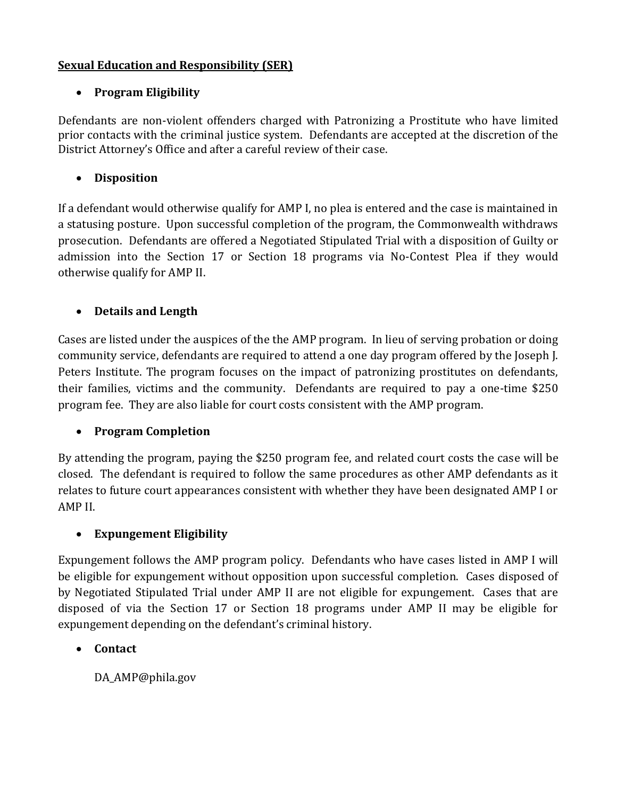#### **Sexual Education and Responsibility (SER)**

#### **Program Eligibility**

Defendants are non-violent offenders charged with Patronizing a Prostitute who have limited prior contacts with the criminal justice system. Defendants are accepted at the discretion of the District Attorney's Office and after a careful review of their case.

## **Disposition**

If a defendant would otherwise qualify for AMP I, no plea is entered and the case is maintained in a statusing posture. Upon successful completion of the program, the Commonwealth withdraws prosecution. Defendants are offered a Negotiated Stipulated Trial with a disposition of Guilty or admission into the Section 17 or Section 18 programs via No-Contest Plea if they would otherwise qualify for AMP II.

## **Details and Length**

Cases are listed under the auspices of the the AMP program. In lieu of serving probation or doing community service, defendants are required to attend a one day program offered by the Joseph J. Peters Institute. The program focuses on the impact of patronizing prostitutes on defendants, their families, victims and the community. Defendants are required to pay a one-time \$250 program fee. They are also liable for court costs consistent with the AMP program.

#### **Program Completion**

By attending the program, paying the \$250 program fee, and related court costs the case will be closed. The defendant is required to follow the same procedures as other AMP defendants as it relates to future court appearances consistent with whether they have been designated AMP I or AMP II.

#### **Expungement Eligibility**

Expungement follows the AMP program policy. Defendants who have cases listed in AMP I will be eligible for expungement without opposition upon successful completion. Cases disposed of by Negotiated Stipulated Trial under AMP II are not eligible for expungement. Cases that are disposed of via the Section 17 or Section 18 programs under AMP II may be eligible for expungement depending on the defendant's criminal history.

#### **Contact**

DA\_AMP@phila.gov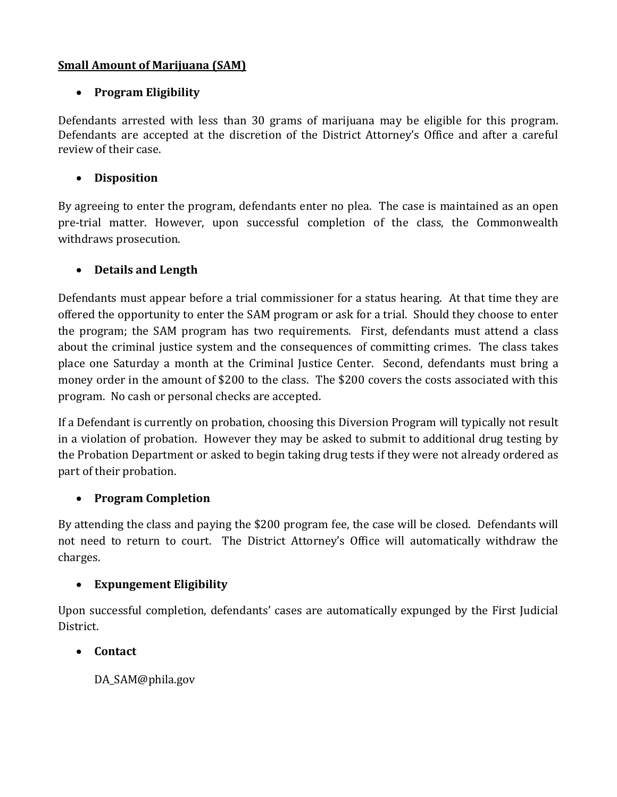#### **Small Amount of Marijuana (SAM)**

## **Program Eligibility**

Defendants arrested with less than 30 grams of marijuana may be eligible for this program. Defendants are accepted at the discretion of the District Attorney's Office and after a careful review of their case.

## **Disposition**

By agreeing to enter the program, defendants enter no plea. The case is maintained as an open pre-trial matter. However, upon successful completion of the class, the Commonwealth withdraws prosecution.

## **Details and Length**

Defendants must appear before a trial commissioner for a status hearing. At that time they are offered the opportunity to enter the SAM program or ask for a trial. Should they choose to enter the program; the SAM program has two requirements. First, defendants must attend a class about the criminal justice system and the consequences of committing crimes. The class takes place one Saturday a month at the Criminal Justice Center. Second, defendants must bring a money order in the amount of \$200 to the class. The \$200 covers the costs associated with this program. No cash or personal checks are accepted.

If a Defendant is currently on probation, choosing this Diversion Program will typically not result in a violation of probation. However they may be asked to submit to additional drug testing by the Probation Department or asked to begin taking drug tests if they were not already ordered as part of their probation.

## **Program Completion**

By attending the class and paying the \$200 program fee, the case will be closed. Defendants will not need to return to court. The District Attorney's Office will automatically withdraw the charges.

## **Expungement Eligibility**

Upon successful completion, defendants' cases are automatically expunged by the First Judicial District.

#### **Contact**

DA\_SAM@phila.gov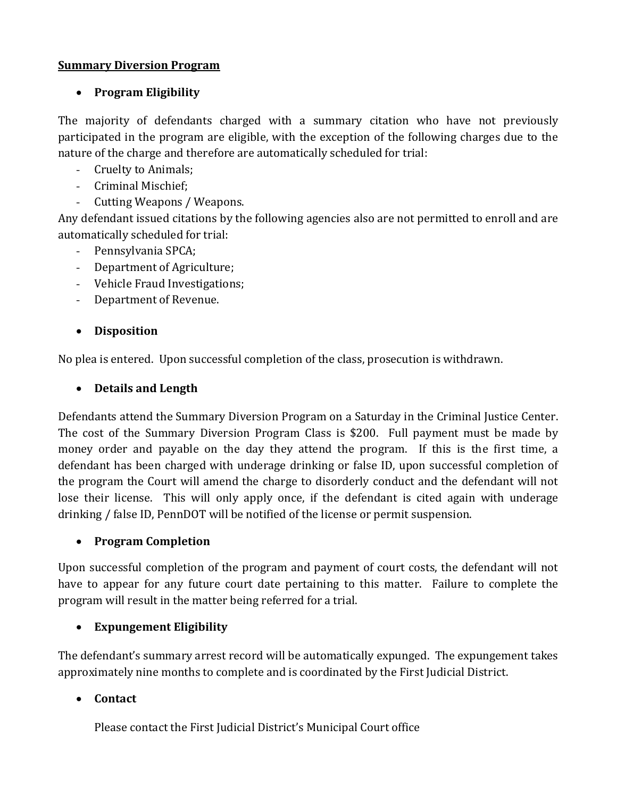#### **Summary Diversion Program**

## **Program Eligibility**

The majority of defendants charged with a summary citation who have not previously participated in the program are eligible, with the exception of the following charges due to the nature of the charge and therefore are automatically scheduled for trial:

- Cruelty to Animals;
- Criminal Mischief;
- Cutting Weapons / Weapons.

Any defendant issued citations by the following agencies also are not permitted to enroll and are automatically scheduled for trial:

- Pennsylvania SPCA;
- Department of Agriculture;
- Vehicle Fraud Investigations;
- Department of Revenue.

## **Disposition**

No plea is entered. Upon successful completion of the class, prosecution is withdrawn.

## **Details and Length**

Defendants attend the Summary Diversion Program on a Saturday in the Criminal Justice Center. The cost of the Summary Diversion Program Class is \$200. Full payment must be made by money order and payable on the day they attend the program. If this is the first time, a defendant has been charged with underage drinking or false ID, upon successful completion of the program the Court will amend the charge to disorderly conduct and the defendant will not lose their license. This will only apply once, if the defendant is cited again with underage drinking / false ID, PennDOT will be notified of the license or permit suspension.

## **Program Completion**

Upon successful completion of the program and payment of court costs, the defendant will not have to appear for any future court date pertaining to this matter. Failure to complete the program will result in the matter being referred for a trial.

## **Expungement Eligibility**

The defendant's summary arrest record will be automatically expunged. The expungement takes approximately nine months to complete and is coordinated by the First Judicial District.

## **Contact**

Please contact the First Judicial District's Municipal Court office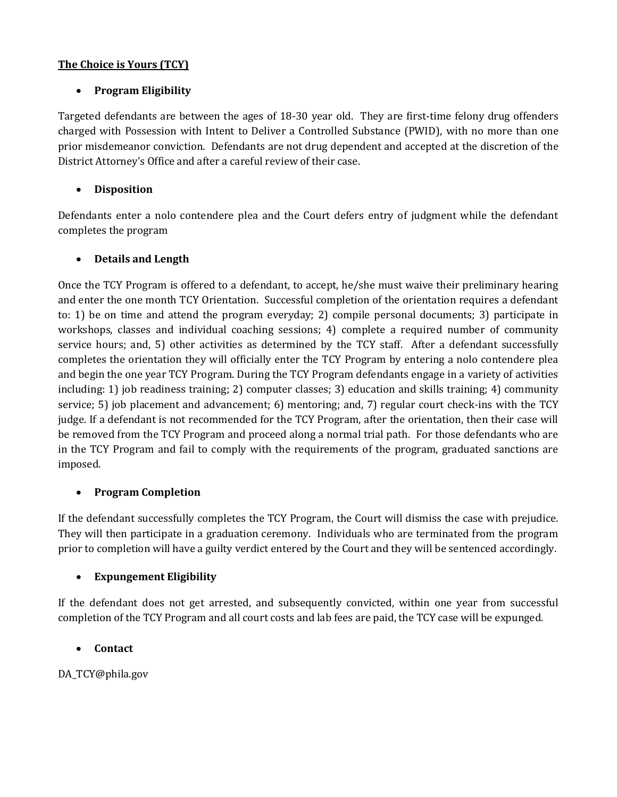#### **The Choice is Yours (TCY)**

#### **Program Eligibility**

Targeted defendants are between the ages of 18-30 year old. They are first-time felony drug offenders charged with Possession with Intent to Deliver a Controlled Substance (PWID), with no more than one prior misdemeanor conviction. Defendants are not drug dependent and accepted at the discretion of the District Attorney's Office and after a careful review of their case.

#### **Disposition**

Defendants enter a nolo contendere plea and the Court defers entry of judgment while the defendant completes the program

#### **Details and Length**

Once the TCY Program is offered to a defendant, to accept, he/she must waive their preliminary hearing and enter the one month TCY Orientation. Successful completion of the orientation requires a defendant to: 1) be on time and attend the program everyday; 2) compile personal documents; 3) participate in workshops, classes and individual coaching sessions; 4) complete a required number of community service hours; and, 5) other activities as determined by the TCY staff. After a defendant successfully completes the orientation they will officially enter the TCY Program by entering a nolo contendere plea and begin the one year TCY Program. During the TCY Program defendants engage in a variety of activities including: 1) job readiness training; 2) computer classes; 3) education and skills training; 4) community service; 5) job placement and advancement; 6) mentoring; and, 7) regular court check-ins with the TCY judge. If a defendant is not recommended for the TCY Program, after the orientation, then their case will be removed from the TCY Program and proceed along a normal trial path. For those defendants who are in the TCY Program and fail to comply with the requirements of the program, graduated sanctions are imposed.

#### **Program Completion**

If the defendant successfully completes the TCY Program, the Court will dismiss the case with prejudice. They will then participate in a graduation ceremony. Individuals who are terminated from the program prior to completion will have a guilty verdict entered by the Court and they will be sentenced accordingly.

#### **Expungement Eligibility**

If the defendant does not get arrested, and subsequently convicted, within one year from successful completion of the TCY Program and all court costs and lab fees are paid, the TCY case will be expunged.

#### **Contact**

DA\_TCY@phila.gov